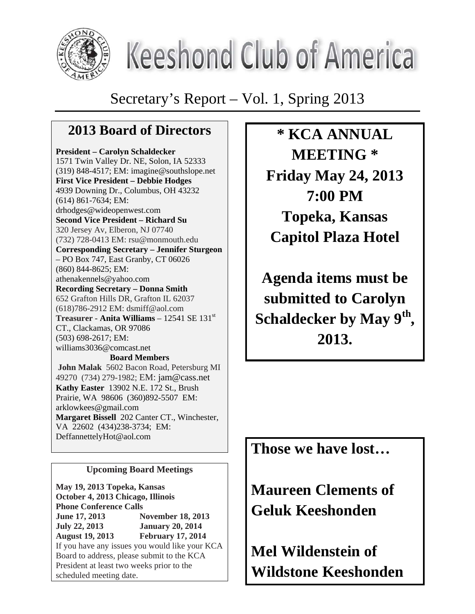

# **Keeshond Club of America**

Secretary's Report – Vol. 1, Spring 2013

# **2013 Board of Directors**

**President – Carolyn Schaldecker**  1571 Twin Valley Dr. NE, Solon, IA 52333 (319) 848-4517; EM: imagine@southslope.net **First Vice President – Debbie Hodges**  4939 Downing Dr., Columbus, OH 43232 (614) 861-7634; EM: drhodges@wideopenwest.com **Second Vice President – Richard Su**  320 Jersey Av, Elberon, NJ 07740 (732) 728-0413 EM: rsu@monmouth.edu **Corresponding Secretary – Jennifer Sturgeon** – PO Box 747, East Granby, CT 06026 (860) 844-8625; EM: athenakennels@yahoo.com **Recording Secretary – Donna Smith**  652 Grafton Hills DR, Grafton IL 62037 (618)786-2912 EM: dsmiff@aol.com **Treasurer - Anita Williams** – 12541 SE 131st CT., Clackamas, OR 97086 (503) 698-2617; EM: williams3036@comcast.net **Board Members** 

 **John Malak** 5602 Bacon Road, Petersburg MI 49270(734) 279-1982; EM: jam@cass.net **Kathy Easter** 13902 N.E. 172 St., Brush Prairie, WA 98606 (360)892-5507 EM: arklowkees@gmail.com **Margaret Bissell** 202 Canter CT., Winchester, VA 22602 (434)238-3734; EM: DeffannettelyHot@aol.com

## **Upcoming Board Meetings**

**May 19, 2013 Topeka, Kansas October 4, 2013 Chicago, Illinois Phone Conference Calls June 17, 2013 November 18, 2013 July 22, 2013 January 20, 2014 August 19, 2013 February 17, 2014**  If you have any issues you would like your KCA Board to address, please submit to the KCA President at least two weeks prior to the scheduled meeting date.

**\* KCA ANNUAL MEETING \* Friday May 24, 2013 7:00 PM Topeka, Kansas Capitol Plaza Hotel** 

**Agenda items must be submitted to Carolyn Schaldecker by May 9th , 2013.** 

**Those we have lost…** 

**Maureen Clements of Geluk Keeshonden** 

**Mel Wildenstein of Wildstone Keeshonden**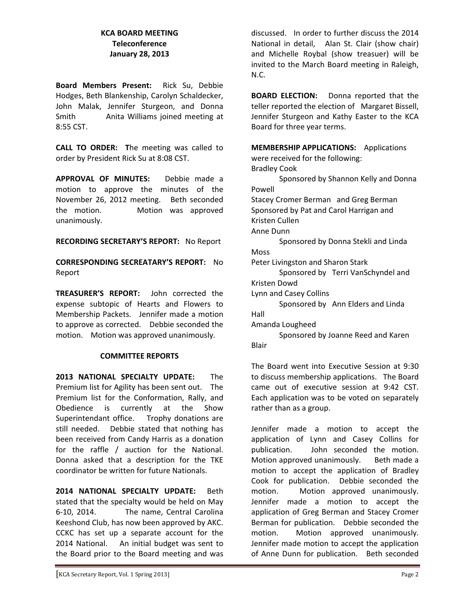#### **KCA BOARD MEETING Teleconference January 28, 2013**

**Board Members Present:**  Rick Su, Debbie Hodges, Beth Blankenship, Carolyn Schaldecker, John Malak, Jennifer Sturgeon, and Donna Smith Anita Williams joined meeting at 8:55 CST.

**CALL TO ORDER: T**he meeting was called to order by President Rick Su at 8:08 CST.

**APPROVAL OF MINUTES:**  Debbie made a motion to approve the minutes of the November 26, 2012 meeting. Beth seconded the motion. Motion was approved unanimously.

**RECORDING SECRETARY'S REPORT:** No Report

**CORRESPONDING SECREATARY'S REPORT:** No Report

**TREASURER'S REPORT:**  John corrected the expense subtopic of Hearts and Flowers to Membership Packets. Jennifer made a motion to approve as corrected. Debbie seconded the motion. Motion was approved unanimously.

#### **COMMITTEE REPORTS**

**2013 NATIONAL SPECIALTY UPDATE:**  The Premium list for Agility has been sent out. The Premium list for the Conformation, Rally, and Obedience is currently at the Show Superintendant office. Trophy donations are still needed. Debbie stated that nothing has been received from Candy Harris as a donation for the raffle / auction for the National. Donna asked that a description for the TKE coordinator be written for future Nationals. 

**2014 NATIONAL SPECIALTY UPDATE:**  Beth stated that the specialty would be held on May 6‐10, 2014. The name, Central Carolina Keeshond Club, has now been approved by AKC. CCKC has set up a separate account for the 2014 National. An initial budget was sent to the Board prior to the Board meeting and was

discussed. In order to further discuss the 2014 National in detail. Alan St. Clair (show chair) and Michelle Roybal (show treasuer) will be invited to the March Board meeting in Raleigh, N.C.

**BOARD ELECTION:** Donna reported that the teller reported the election of Margaret Bissell, Jennifer Sturgeon and Kathy Easter to the KCA Board for three year terms.

**MEMBERSHIP APPLICATIONS:** Applications were received for the following: Bradley Cook Sponsored by Shannon Kelly and Donna Powell Stacey Cromer Berman and Greg Berman Sponsored by Pat and Carol Harrigan and Kristen Cullen Anne Dunn Sponsored by Donna Stekli and Linda Moss Peter Livingston and Sharon Stark Sponsored by Terri VanSchyndel and Kristen Dowd Lynn and Casey Collins Sponsored by Ann Elders and Linda Hall Amanda Lougheed Sponsored by Joanne Reed and Karen Blair

The Board went into Executive Session at 9:30 to discuss membership applications. The Board came out of executive session at 9:42 CST. Each application was to be voted on separately rather than as a group.

Jennifer made a motion to accept the application of Lynn and Casey Collins for publication. John seconded the motion. Motion approved unanimously. Beth made a motion to accept the application of Bradley Cook for publication. Debbie seconded the motion. Motion approved unanimously. Jennifer made a motion to accept the application of Greg Berman and Stacey Cromer Berman for publication. Debbie seconded the motion. Motion approved unanimously. Jennifer made motion to accept the application of Anne Dunn for publication. Beth seconded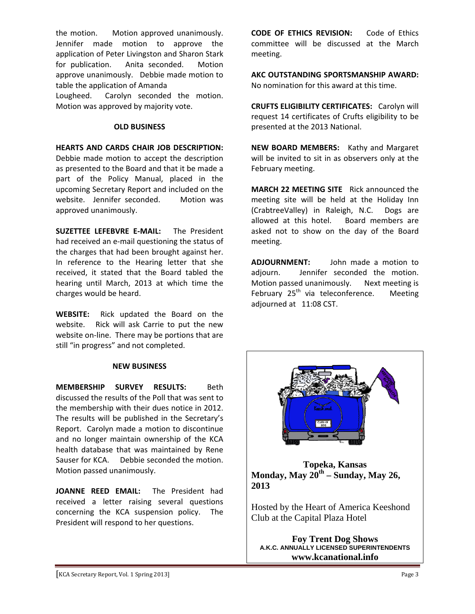the motion. Motion approved unanimously. Jennifer made motion to approve the application of Peter Livingston and Sharon Stark for publication. Anita seconded. Motion approve unanimously. Debbie made motion to table the application of Amanda

Lougheed. Carolyn seconded the motion. Motion was approved by majority vote.

#### **OLD BUSINESS**

#### **HEARTS AND CARDS CHAIR JOB DESCRIPTION:**

Debbie made motion to accept the description as presented to the Board and that it be made a part of the Policy Manual, placed in the upcoming Secretary Report and included on the website. Jennifer seconded. Motion was approved unanimously.

**SUZETTEE LEFEBVRE E‐MAIL:**  The President had received an e‐mail questioning the status of the charges that had been brought against her. In reference to the Hearing letter that she received, it stated that the Board tabled the hearing until March, 2013 at which time the charges would be heard.

**WEBSITE:**  Rick updated the Board on the website. Rick will ask Carrie to put the new website on-line. There may be portions that are still "in progress" and not completed.

#### **NEW BUSINESS**

**MEMBERSHIP SURVEY RESULTS:**  Beth discussed the results of the Poll that was sent to the membership with their dues notice in 2012. The results will be published in the Secretary's Report. Carolyn made a motion to discontinue and no longer maintain ownership of the KCA health database that was maintained by Rene Sauser for KCA. Debbie seconded the motion. Motion passed unanimously.

**JOANNE REED EMAIL:**  The President had received a letter raising several questions concerning the KCA suspension policy. The President will respond to her questions.

**CODE OF ETHICS REVISION:**  Code of Ethics committee will be discussed at the March meeting.

**AKC OUTSTANDING SPORTSMANSHIP AWARD:**  No nomination for this award at this time.

**CRUFTS ELIGIBILITY CERTIFICATES:** Carolyn will request 14 certificates of Crufts eligibility to be presented at the 2013 National.

**NEW BOARD MEMBERS:** Kathy and Margaret will be invited to sit in as observers only at the February meeting.

**MARCH 22 MEETING SITE** Rick announced the meeting site will be held at the Holiday Inn (CrabtreeValley) in Raleigh, N.C. Dogs are allowed at this hotel. Board members are asked not to show on the day of the Board meeting.

**ADJOURNMENT:**  John made a motion to adjourn. Jennifer seconded the motion. Motion passed unanimously. Next meeting is February  $25<sup>th</sup>$  via teleconference. Meeting adjourned at 11:08 CST.



**Topeka, Kansas Monday, May 20th – Sunday, May 26, 2013** 

Hosted by the Heart of America Keeshond Club at the Capital Plaza Hotel

**Foy Trent Dog Shows A.K.C. ANNUALLY LICENSED SUPERINTENDENTS www.kcanational.info**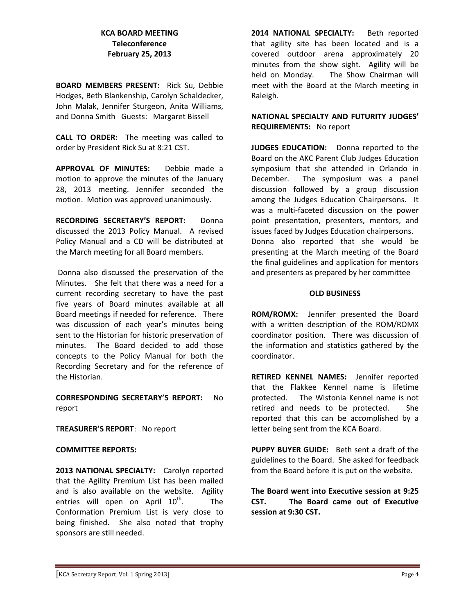#### **KCA BOARD MEETING Teleconference February 25, 2013**

**BOARD MEMBERS PRESENT:**  Rick Su, Debbie Hodges, Beth Blankenship, Carolyn Schaldecker, John Malak, Jennifer Sturgeon, Anita Williams, and Donna Smith Guests: Margaret Bissell

**CALL TO ORDER:**  The meeting was called to order by President Rick Su at 8:21 CST.

**APPROVAL OF MINUTES:**  Debbie made a motion to approve the minutes of the January 28, 2013 meeting. Jennifer seconded the motion. Motion was approved unanimously.

**RECORDING SECRETARY'S REPORT:**  Donna discussed the 2013 Policy Manual. A revised Policy Manual and a CD will be distributed at the March meeting for all Board members.

Donna also discussed the preservation of the Minutes. She felt that there was a need for a current recording secretary to have the past five years of Board minutes available at all Board meetings if needed for reference. There was discussion of each year's minutes being sent to the Historian for historic preservation of minutes. The Board decided to add those concepts to the Policy Manual for both the Recording Secretary and for the reference of the Historian.

**CORRESPONDING SECRETARY'S REPORT:** No report

T**REASURER'S REPORT**: No report

#### **COMMITTEE REPORTS:**

**2013 NATIONAL SPECIALTY:** Carolyn reported that the Agility Premium List has been mailed and is also available on the website. Agility entries will open on April  $10<sup>th</sup>$ . The Conformation Premium List is very close to being finished. She also noted that trophy sponsors are still needed.

**2014 NATIONAL SPECIALTY:**  Beth reported that agility site has been located and is a covered outdoor arena approximately 20 minutes from the show sight. Agility will be held on Monday. The Show Chairman will meet with the Board at the March meeting in Raleigh.

**NATIONAL SPECIALTY AND FUTURITY JUDGES' REQUIREMENTS:**  No report

**JUDGES EDUCATION:**  Donna reported to the Board on the AKC Parent Club Judges Education symposium that she attended in Orlando in December. The symposium was a panel discussion followed by a group discussion among the Judges Education Chairpersons. It was a multi-faceted discussion on the power point presentation, presenters, mentors, and issues faced by Judges Education chairpersons. Donna also reported that she would be presenting at the March meeting of the Board the final guidelines and application for mentors and presenters as prepared by her committee

#### **OLD BUSINESS**

**ROM/ROMX:** Jennifer presented the Board with a written description of the ROM/ROMX coordinator position. There was discussion of the information and statistics gathered by the coordinator.

**RETIRED KENNEL NAMES:**  Jennifer reported that the Flakkee Kennel name is lifetime protected. The Wistonia Kennel name is not retired and needs to be protected. She reported that this can be accomplished by a letter being sent from the KCA Board.

**PUPPY BUYER GUIDE:**  Beth sent a draft of the guidelines to the Board. She asked for feedback from the Board before it is put on the website.

**The Board went into Executive session at 9:25 CST. The Board came out of Executive session at 9:30 CST.**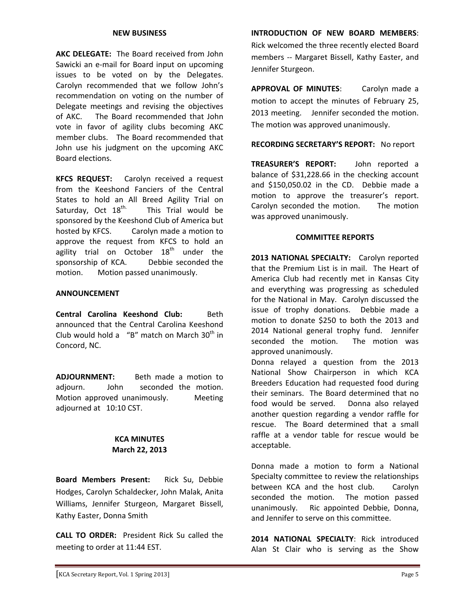#### **NEW BUSINESS**

**AKC DELEGATE:** The Board received from John Sawicki an e‐mail for Board input on upcoming issues to be voted on by the Delegates. Carolyn recommended that we follow John's recommendation on voting on the number of Delegate meetings and revising the objectives of AKC. The Board recommended that John vote in favor of agility clubs becoming AKC member clubs. The Board recommended that John use his judgment on the upcoming AKC Board elections.

**KFCS REQUEST:**  Carolyn received a request from the Keeshond Fanciers of the Central States to hold an All Breed Agility Trial on Saturday, Oct  $18^{th}$ . This Trial would be sponsored by the Keeshond Club of America but hosted by KFCS. Carolyn made a motion to approve the request from KFCS to hold an agility trial on October  $18<sup>th</sup>$  under the sponsorship of KCA. Debbie seconded the motion. **Motion passed unanimously.** 

#### **ANNOUNCEMENT**

**Central Carolina Keeshond Club:** Beth announced that the Central Carolina Keeshond Club would hold a "B" match on March  $30<sup>th</sup>$  in Concord, NC.

**ADJOURNMENT:** Beth made a motion to adjourn. John seconded the motion. Motion approved unanimously. Meeting adjourned at 10:10 CST.

#### **KCA MINUTES March 22, 2013**

**Board Members Present:** Rick Su, Debbie Hodges, Carolyn Schaldecker, John Malak, Anita Williams, Jennifer Sturgeon, Margaret Bissell, Kathy Easter, Donna Smith

**CALL TO ORDER:** President Rick Su called the meeting to order at 11:44 EST.

**INTRODUCTION OF NEW BOARD MEMBERS**: Rick welcomed the three recently elected Board members -- Margaret Bissell, Kathy Easter, and Jennifer Sturgeon.

**APPROVAL OF MINUTES**: Carolyn made a motion to accept the minutes of February 25, 2013 meeting. Jennifer seconded the motion. The motion was approved unanimously.

#### **RECORDING SECRETARY'S REPORT:** No report

**TREASURER'S REPORT:** John reported a balance of \$31,228.66 in the checking account and \$150,050.02 in the CD. Debbie made a motion to approve the treasurer's report. Carolyn seconded the motion. The motion was approved unanimously.

#### **COMMITTEE REPORTS**

**2013 NATIONAL SPECIALTY:** Carolyn reported that the Premium List is in mail. The Heart of America Club had recently met in Kansas City and everything was progressing as scheduled for the National in May. Carolyn discussed the issue of trophy donations. Debbie made a motion to donate \$250 to both the 2013 and 2014 National general trophy fund. Jennifer seconded the motion. The motion was approved unanimously.

Donna relayed a question from the 2013 National Show Chairperson in which KCA Breeders Education had requested food during their seminars. The Board determined that no food would be served. Donna also relayed another question regarding a vendor raffle for rescue. The Board determined that a small raffle at a vendor table for rescue would be acceptable.

Donna made a motion to form a National Specialty committee to review the relationships between KCA and the host club. Carolyn seconded the motion. The motion passed unanimously. Ric appointed Debbie, Donna, and Jennifer to serve on this committee.

**2014 NATIONAL SPECIALTY**: Rick introduced Alan St Clair who is serving as the Show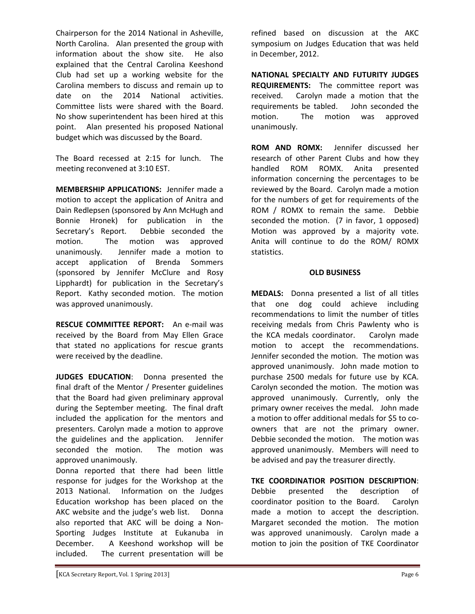Chairperson for the 2014 National in Asheville, North Carolina. Alan presented the group with information about the show site. He also explained that the Central Carolina Keeshond Club had set up a working website for the Carolina members to discuss and remain up to date on the 2014 National activities. Committee lists were shared with the Board. No show superintendent has been hired at this point. Alan presented his proposed National budget which was discussed by the Board.

The Board recessed at 2:15 for lunch. The meeting reconvened at 3:10 EST.

**MEMBERSHIP APPLICATIONS:** Jennifer made a motion to accept the application of Anitra and Dain Redlepsen (sponsored by Ann McHugh and Bonnie Hronek) for publication in the Secretary's Report. Debbie seconded the motion. The motion was approved unanimously. Jennifer made a motion to accept application of Brenda Sommers (sponsored by Jennifer McClure and Rosy Lipphardt) for publication in the Secretary's Report. Kathy seconded motion. The motion was approved unanimously.

**RESCUE COMMITTEE REPORT:** An e‐mail was received by the Board from May Ellen Grace that stated no applications for rescue grants were received by the deadline.

**JUDGES EDUCATION**: Donna presented the final draft of the Mentor / Presenter guidelines that the Board had given preliminary approval during the September meeting. The final draft included the application for the mentors and presenters. Carolyn made a motion to approve the guidelines and the application. Jennifer seconded the motion. The motion was approved unanimously.

Donna reported that there had been little response for judges for the Workshop at the 2013 National. Information on the Judges Education workshop has been placed on the AKC website and the judge's web list. Donna also reported that AKC will be doing a Non‐ Sporting Judges Institute at Eukanuba in December. A Keeshond workshop will be included. The current presentation will be refined based on discussion at the AKC symposium on Judges Education that was held in December, 2012.

**NATIONAL SPECIALTY AND FUTURITY JUDGES REQUIREMENTS:** The committee report was received. Carolyn made a motion that the requirements be tabled. John seconded the motion. The motion was approved unanimously.

**ROM AND ROMX:** Jennifer discussed her research of other Parent Clubs and how they handled ROM ROMX. Anita presented information concerning the percentages to be reviewed by the Board. Carolyn made a motion for the numbers of get for requirements of the ROM / ROMX to remain the same. Debbie seconded the motion. (7 in favor, 1 opposed) Motion was approved by a majority vote. Anita will continue to do the ROM/ ROMX statistics.

#### **OLD BUSINESS**

**MEDALS:** Donna presented a list of all titles that one dog could achieve including recommendations to limit the number of titles receiving medals from Chris Pawlenty who is the KCA medals coordinator. Carolyn made motion to accept the recommendations. Jennifer seconded the motion. The motion was approved unanimously. John made motion to purchase 2500 medals for future use by KCA. Carolyn seconded the motion. The motion was approved unanimously. Currently, only the primary owner receives the medal. John made a motion to offer additional medals for \$5 to co‐ owners that are not the primary owner. Debbie seconded the motion. The motion was approved unanimously. Members will need to be advised and pay the treasurer directly.

**TKE COORDINATIOR POSITION DESCRIPTION**: Debbie presented the description of coordinator position to the Board. Carolyn made a motion to accept the description. Margaret seconded the motion. The motion was approved unanimously. Carolyn made a motion to join the position of TKE Coordinator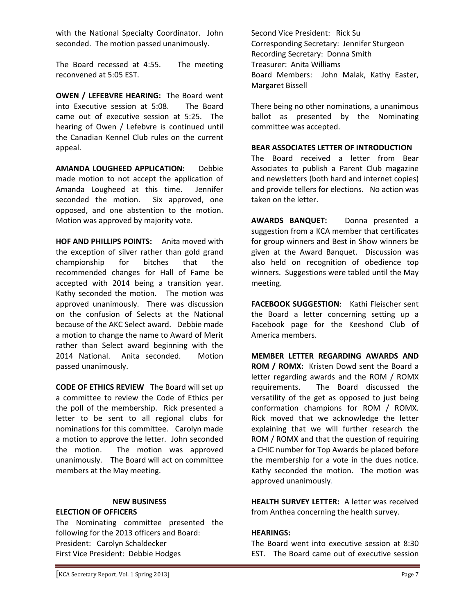with the National Specialty Coordinator. John seconded. The motion passed unanimously.

The Board recessed at 4:55. The meeting reconvened at 5:05 EST.

**OWEN / LEFEBVRE HEARING:** The Board went into Executive session at 5:08. The Board came out of executive session at 5:25. The hearing of Owen / Lefebvre is continued until the Canadian Kennel Club rules on the current appeal.

**AMANDA LOUGHEED APPLICATION:**  Debbie made motion to not accept the application of Amanda Lougheed at this time. Jennifer seconded the motion. Six approved, one opposed, and one abstention to the motion. Motion was approved by majority vote.

**HOF AND PHILLIPS POINTS:** Anita moved with the exception of silver rather than gold grand championship for bitches that the recommended changes for Hall of Fame be accepted with 2014 being a transition year. Kathy seconded the motion. The motion was approved unanimously. There was discussion on the confusion of Selects at the National because of the AKC Select award. Debbie made a motion to change the name to Award of Merit rather than Select award beginning with the 2014 National. Anita seconded. Motion passed unanimously.

**CODE OF ETHICS REVIEW** The Board will set up a committee to review the Code of Ethics per the poll of the membership. Rick presented a letter to be sent to all regional clubs for nominations for this committee. Carolyn made a motion to approve the letter. John seconded the motion. The motion was approved unanimously. The Board will act on committee members at the May meeting.

#### **NEW BUSINESS**

#### **ELECTION OF OFFICERS**

The Nominating committee presented the following for the 2013 officers and Board: President: Carolyn Schaldecker First Vice President: Debbie Hodges

Second Vice President: Rick Su Corresponding Secretary: Jennifer Sturgeon Recording Secretary: Donna Smith Treasurer: Anita Williams Board Members: John Malak, Kathy Easter, Margaret Bissell

There being no other nominations, a unanimous ballot as presented by the Nominating committee was accepted.

#### **BEAR ASSOCIATES LETTER OF INTRODUCTION**

The Board received a letter from Bear Associates to publish a Parent Club magazine and newsletters (both hard and internet copies) and provide tellers for elections. No action was taken on the letter.

**AWARDS BANQUET:**  Donna presented a suggestion from a KCA member that certificates for group winners and Best in Show winners be given at the Award Banquet. Discussion was also held on recognition of obedience top winners. Suggestions were tabled until the May meeting.

**FACEBOOK SUGGESTION**: Kathi Fleischer sent the Board a letter concerning setting up a Facebook page for the Keeshond Club of America members.

**MEMBER LETTER REGARDING AWARDS AND ROM / ROMX:** Kristen Dowd sent the Board a letter regarding awards and the ROM / ROMX requirements. The Board discussed the versatility of the get as opposed to just being conformation champions for ROM / ROMX. Rick moved that we acknowledge the letter explaining that we will further research the ROM / ROMX and that the question of requiring a CHIC number for Top Awards be placed before the membership for a vote in the dues notice. Kathy seconded the motion. The motion was approved unanimously.

**HEALTH SURVEY LETTER:** A letter was received from Anthea concerning the health survey.

#### **HEARINGS:**

The Board went into executive session at 8:30 EST. The Board came out of executive session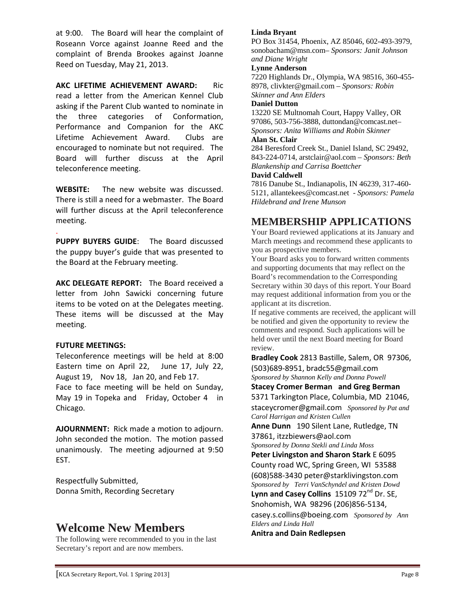at 9:00. The Board will hear the complaint of Roseann Vorce against Joanne Reed and the complaint of Brenda Brookes against Joanne Reed on Tuesday, May 21, 2013.

**AKC LIFETIME ACHIEVEMENT AWARD:** Ric read a letter from the American Kennel Club asking if the Parent Club wanted to nominate in the three categories of Conformation, Performance and Companion for the AKC Lifetime Achievement Award. Clubs are encouraged to nominate but not required. The Board will further discuss at the April teleconference meeting.

**WEBSITE:** The new website was discussed. There is still a need for a webmaster. The Board will further discuss at the April teleconference meeting.

. **PUPPY BUYERS GUIDE**: The Board discussed the puppy buyer's guide that was presented to the Board at the February meeting.

**AKC DELEGATE REPORT:** The Board received a letter from John Sawicki concerning future items to be voted on at the Delegates meeting. These items will be discussed at the May meeting.

#### **FUTURE MEETINGS:**

Teleconference meetings will be held at 8:00 Eastern time on April 22, June 17, July 22, August 19, Nov 18, Jan 20, and Feb 17. Face to face meeting will be held on Sunday, May 19 in Topeka and Friday, October 4 in Chicago.

AJOURNMENT: Rick made a motion to adjourn. John seconded the motion. The motion passed unanimously. The meeting adjourned at 9:50 EST.

Respectfully Submitted, Donna Smith, Recording Secretary

## **Welcome New Members**

The following were recommended to you in the last Secretary's report and are now members.

#### **Linda Bryant**

PO Box 31454, Phoenix, AZ 85046, 602-493-3979, sonobacham@msn.com– *Sponsors: Janit Johnson and Diane Wright*

#### **Lynne Anderson**

7220 Highlands Dr., Olympia, WA 98516, 360-455- 8978, clivkter@gmail.com – *Sponsors: Robin Skinner and Ann Elders*

#### **Daniel Dutton**

13220 SE Multnomah Court, Happy Valley, OR 97086, 503-756-3888, duttondan@comcast.net– *Sponsors: Anita Williams and Robin Skinner*

#### **Alan St. Clair**

284 Beresford Creek St., Daniel Island, SC 29492, 843-224-0714, arstclair@aol.com – *Sponsors: Beth Blankenship and Carrisa Boettcher*

#### **David Caldwell**

7816 Danube St., Indianapolis, IN 46239, 317-460- 5121, allantekees@comcast.net - *Sponsors: Pamela Hildebrand and Irene Munson*

## **MEMBERSHIP APPLICATIONS**

Your Board reviewed applications at its January and March meetings and recommend these applicants to you as prospective members.

Your Board asks you to forward written comments and supporting documents that may reflect on the Board's recommendation to the Corresponding Secretary within 30 days of this report. Your Board may request additional information from you or the applicant at its discretion.

If negative comments are received, the applicant will be notified and given the opportunity to review the comments and respond. Such applications will be held over until the next Board meeting for Board review.

**Bradley Cook** 2813 Bastille, Salem, OR 97306, (503)689‐8951, bradc55@gmail.com *Sponsored by Shannon Kelly and Donna Powell* 

**Stacey Cromer Berman and Greg Berman** 5371 Tarkington Place, Columbia, MD 21046, staceycromer@gmail.com *Sponsored by Pat and* 

*Carol Harrigan and Kristen Cullen*  **Anne Dunn** 190 Silent Lane, Rutledge, TN 37861, itzzbiewers@aol.com

*Sponsored by Donna Stekli and Linda Moss*  **Peter Livingston and Sharon Stark** E 6095 County road WC, Spring Green, WI 53588 (608)588‐3430 peter@starklivingston.com *Sponsored by Terri VanSchyndel and Kristen Dowd*  **Lynn and Casey Collins** 15109 72nd Dr. SE, Snohomish, WA 98296 (206)856‐5134, casey.s.collins@boeing.com *Sponsored by Ann Elders and Linda Hall*  **Anitra and Dain Redlepsen**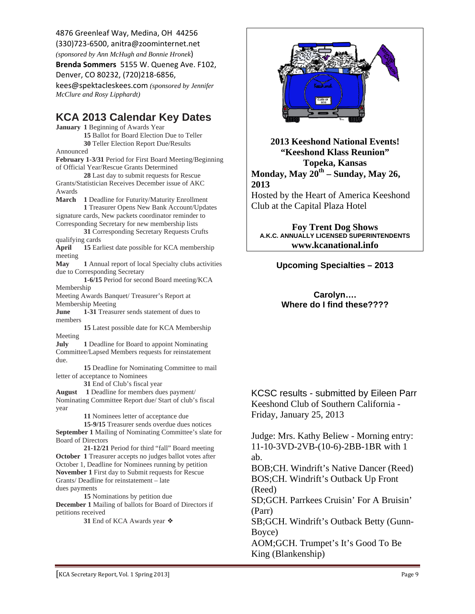4876 Greenleaf Way, Medina, OH 44256 (330)723‐6500, anitra@zoominternet.net

*(sponsored by Ann McHugh and Bonnie Hronek*)

**Brenda Sommers** 5155 W. Queneg Ave. F102, Denver, CO 80232, (720)218‐6856,

kees@spektacleskees.com *(sponsored by Jennifer McClure and Rosy Lipphardt)* 

## **KCA 2013 Calendar Key Dates**

**January 1** Beginning of Awards Year **15** Ballot for Board Election Due to Teller **30** Teller Election Report Due/Results Announced

**February 1-3/31** Period for First Board Meeting/Beginning of Official Year/Rescue Grants Determined **28** Last day to submit requests for Rescue Grants/Statistician Receives December issue of AKC Awards

**March 1** Deadline for Futurity/Maturity Enrollment **1** Treasurer Opens New Bank Account/Updates signature cards, New packets coordinator reminder to Corresponding Secretary for new membership lists **31** Corresponding Secretary Requests Crufts qualifying cards **April 15** Earliest date possible for KCA membership meeting **May 1** Annual report of local Specialty clubs activities due to Corresponding Secretary **1-6/15** Period for second Board meeting/KCA Membership Meeting Awards Banquet/ Treasurer's Report at Membership Meeting **June 1-31** Treasurer sends statement of dues to members **15** Latest possible date for KCA Membership Meeting **July** 1 Deadline for Board to appoint Nominating Committee/Lapsed Members requests for reinstatement due. **15** Deadline for Nominating Committee to mail letter of acceptance to Nominees **31** End of Club's fiscal year

**August 1** Deadline for members dues payment/ Nominating Committee Report due/ Start of club's fiscal year

**11** Nominees letter of acceptance due

**15-9/15** Treasurer sends overdue dues notices **September 1** Mailing of Nominating Committee's slate for Board of Directors

**21-12/21** Period for third "fall" Board meeting **October 1** Treasurer accepts no judges ballot votes after October 1, Deadline for Nominees running by petition **November 1** First day to Submit requests for Rescue Grants/ Deadline for reinstatement – late dues payments

**15** Nominations by petition due **December 1** Mailing of ballots for Board of Directors if petitions received

**31** End of KCA Awards year ❖



**2013 Keeshond National Events! "Keeshond Klass Reunion" Topeka, Kansas Monday, May 20th – Sunday, May 26, 2013** 

Hosted by the Heart of America Keeshond Club at the Capital Plaza Hotel

**Foy Trent Dog Shows A.K.C. ANNUALLY LICENSED SUPERINTENDENTS www.kcanational.info** 

### **Upcoming Specialties – 2013**

**Carolyn…. Where do I find these????** 

KCSC results - submitted by Eileen Parr Keeshond Club of Southern California - Friday, January 25, 2013

Judge: Mrs. Kathy Beliew - Morning entry: 11-10-3VD-2VB-(10-6)-2BB-1BR with 1 ab.

BOB;CH. Windrift's Native Dancer (Reed) BOS;CH. Windrift's Outback Up Front (Reed)

SD;GCH. Parrkees Cruisin' For A Bruisin' (Parr)

SB;GCH. Windrift's Outback Betty (Gunn-Boyce)

AOM;GCH. Trumpet's It's Good To Be King (Blankenship)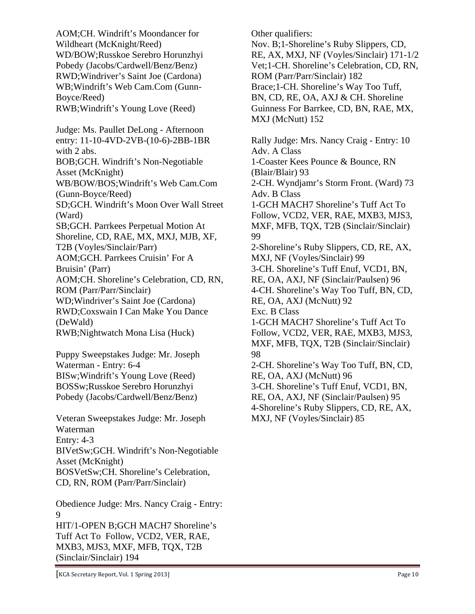AOM;CH. Windrift's Moondancer for Wildheart (McKnight/Reed) WD/BOW;Russkoe Serebro Horunzhyi Pobedy (Jacobs/Cardwell/Benz/Benz) RWD;Windriver's Saint Joe (Cardona) WB;Windrift's Web Cam.Com (Gunn-Boyce/Reed) RWB;Windrift's Young Love (Reed) Judge: Ms. Paullet DeLong - Afternoon entry: 11-10-4VD-2VB-(10-6)-2BB-1BR with 2 abs. BOB;GCH. Windrift's Non-Negotiable Asset (McKnight) WB/BOW/BOS;Windrift's Web Cam.Com (Gunn-Boyce/Reed) SD;GCH. Windrift's Moon Over Wall Street (Ward) SB;GCH. Parrkees Perpetual Motion At Shoreline, CD, RAE, MX, MXJ, MJB, XF, T2B (Voyles/Sinclair/Parr) AOM;GCH. Parrkees Cruisin' For A Bruisin' (Parr) AOM;CH. Shoreline's Celebration, CD, RN, ROM (Parr/Parr/Sinclair) WD;Windriver's Saint Joe (Cardona) RWD;Coxswain I Can Make You Dance (DeWald) RWB;Nightwatch Mona Lisa (Huck) Puppy Sweepstakes Judge: Mr. Joseph Waterman - Entry: 6-4

BISw;Windrift's Young Love (Reed) BOSSw;Russkoe Serebro Horunzhyi Pobedy (Jacobs/Cardwell/Benz/Benz)

Veteran Sweepstakes Judge: Mr. Joseph Waterman Entry: 4-3 BIVetSw;GCH. Windrift's Non-Negotiable Asset (McKnight) BOSVetSw;CH. Shoreline's Celebration, CD, RN, ROM (Parr/Parr/Sinclair)

Obedience Judge: Mrs. Nancy Craig - Entry: 9 HIT/1-OPEN B;GCH MACH7 Shoreline's Tuff Act To Follow, VCD2, VER, RAE, MXB3, MJS3, MXF, MFB, TQX, T2B (Sinclair/Sinclair) 194

Other qualifiers: Nov. B;1-Shoreline's Ruby Slippers, CD, RE, AX, MXJ, NF (Voyles/Sinclair) 171-1/2 Vet;1-CH. Shoreline's Celebration, CD, RN, ROM (Parr/Parr/Sinclair) 182 Brace;1-CH. Shoreline's Way Too Tuff, BN, CD, RE, OA, AXJ & CH. Shoreline Guinness For Barrkee, CD, BN, RAE, MX, MXJ (McNutt) 152 Rally Judge: Mrs. Nancy Craig - Entry: 10 Adv. A Class 1-Coaster Kees Pounce & Bounce, RN (Blair/Blair) 93 2-CH. Wyndjamr's Storm Front. (Ward) 73 Adv. B Class 1-GCH MACH7 Shoreline's Tuff Act To Follow, VCD2, VER, RAE, MXB3, MJS3, MXF, MFB, TQX, T2B (Sinclair/Sinclair) 99 2-Shoreline's Ruby Slippers, CD, RE, AX, MXJ, NF (Voyles/Sinclair) 99 3-CH. Shoreline's Tuff Enuf, VCD1, BN, RE, OA, AXJ, NF (Sinclair/Paulsen) 96 4-CH. Shoreline's Way Too Tuff, BN, CD, RE, OA, AXJ (McNutt) 92 Exc. B Class 1-GCH MACH7 Shoreline's Tuff Act To Follow, VCD2, VER, RAE, MXB3, MJS3, MXF, MFB, TQX, T2B (Sinclair/Sinclair) 98 2-CH. Shoreline's Way Too Tuff, BN, CD, RE, OA, AXJ (McNutt) 96 3-CH. Shoreline's Tuff Enuf, VCD1, BN, RE, OA, AXJ, NF (Sinclair/Paulsen) 95 4-Shoreline's Ruby Slippers, CD, RE, AX, MXJ, NF (Voyles/Sinclair) 85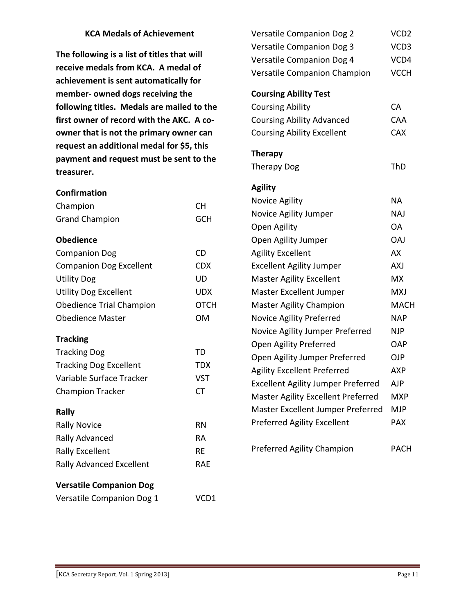#### **KCA Medals of Achievement**

**The following is a list of titles that will receive medals from KCA. A medal of achievement is sent automatically for member‐ owned dogs receiving the following titles. Medals are mailed to the first owner of record with the AKC. A co‐ owner that is not the primary owner can request an additional medal for \$5, this payment and request must be sent to the treasurer.** 

| <b>Confirmation</b>             |             |  |
|---------------------------------|-------------|--|
| Champion                        | <b>CH</b>   |  |
| <b>Grand Champion</b>           | <b>GCH</b>  |  |
| <b>Obedience</b>                |             |  |
| <b>Companion Dog</b>            | <b>CD</b>   |  |
| <b>Companion Dog Excellent</b>  | <b>CDX</b>  |  |
| <b>Utility Dog</b>              | UD          |  |
| <b>Utility Dog Excellent</b>    | <b>UDX</b>  |  |
| <b>Obedience Trial Champion</b> | <b>OTCH</b> |  |
| <b>Obedience Master</b>         | <b>OM</b>   |  |
| <b>Tracking</b>                 |             |  |
| <b>Tracking Dog</b>             | TD          |  |
| <b>Tracking Dog Excellent</b>   | TDX         |  |
| Variable Surface Tracker        | <b>VST</b>  |  |
| <b>Champion Tracker</b>         | <b>CT</b>   |  |
| Rally                           |             |  |
| <b>Rally Novice</b>             | <b>RN</b>   |  |
| Rally Advanced                  | RA          |  |
| <b>Rally Excellent</b>          | RЕ          |  |
| Rally Advanced Excellent        | <b>RAE</b>  |  |
| <b>Versatile Companion Dog</b>  |             |  |
| Versatile Companion Dog 1       | VCD1        |  |

| Versatile Companion Dog 2                 | VCD <sub>2</sub> |
|-------------------------------------------|------------------|
| Versatile Companion Dog 3                 | VCD3             |
| Versatile Companion Dog 4                 | VCD4             |
| Versatile Companion Champion              | <b>VCCH</b>      |
| <b>Coursing Ability Test</b>              |                  |
| <b>Coursing Ability</b>                   | <b>CA</b>        |
| <b>Coursing Ability Advanced</b>          | CAA              |
| <b>Coursing Ability Excellent</b>         | <b>CAX</b>       |
|                                           |                  |
| <b>Therapy</b>                            |                  |
| <b>Therapy Dog</b>                        | ThD              |
| <b>Agility</b>                            |                  |
| Novice Agility                            | <b>NA</b>        |
| Novice Agility Jumper                     | <b>NAJ</b>       |
| Open Agility                              | <b>OA</b>        |
| Open Agility Jumper                       | <b>OAJ</b>       |
| <b>Agility Excellent</b>                  | AX               |
| <b>Excellent Agility Jumper</b>           | <b>AXJ</b>       |
| <b>Master Agility Excellent</b>           | <b>MX</b>        |
| Master Excellent Jumper                   | <b>MXJ</b>       |
| <b>Master Agility Champion</b>            | <b>MACH</b>      |
| Novice Agility Preferred                  | <b>NAP</b>       |
| Novice Agility Jumper Preferred           | <b>NJP</b>       |
| Open Agility Preferred                    | OAP              |
| Open Agility Jumper Preferred             | <b>OJP</b>       |
| <b>Agility Excellent Preferred</b>        | <b>AXP</b>       |
| <b>Excellent Agility Jumper Preferred</b> | AJP              |
| <b>Master Agility Excellent Preferred</b> | <b>MXP</b>       |
| Master Excellent Jumper Preferred         | MJP              |
| <b>Preferred Agility Excellent</b>        | <b>PAX</b>       |
| Preferred Agility Champion                | <b>PACH</b>      |
|                                           |                  |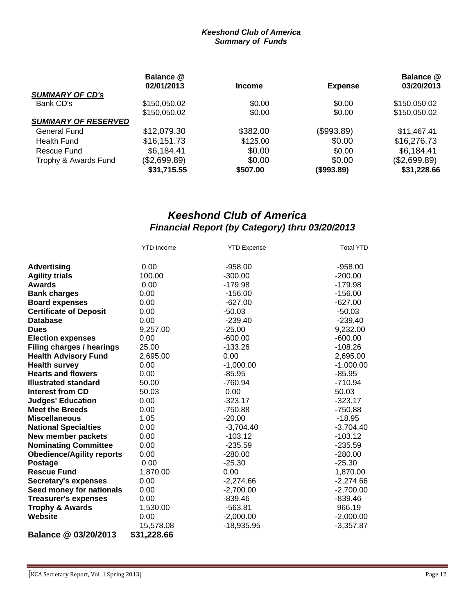#### *Keeshond Club of America Summary of Funds*

|                            | Balance @<br>02/01/2013 | <b>Income</b> | <b>Expense</b> | Balance @<br>03/20/2013 |
|----------------------------|-------------------------|---------------|----------------|-------------------------|
| <b>SUMMARY OF CD's</b>     |                         |               |                |                         |
| Bank CD's                  | \$150,050.02            | \$0.00        | \$0.00         | \$150,050.02            |
|                            | \$150,050.02            | \$0.00        | \$0.00         | \$150,050.02            |
| <b>SUMMARY OF RESERVED</b> |                         |               |                |                         |
| General Fund               | \$12,079.30             | \$382.00      | (\$993.89)     | \$11,467.41             |
| <b>Health Fund</b>         | \$16,151.73             | \$125.00      | \$0.00         | \$16,276.73             |
| Rescue Fund                | \$6,184.41              | \$0.00        | \$0.00         | \$6,184.41              |
| Trophy & Awards Fund       | (\$2,699.89)            | \$0.00        | \$0.00         | (\$2,699.89)            |
|                            | \$31,715.55             | \$507.00      | (\$993.89)     | \$31,228.66             |

## *Keeshond Club of America Financial Report (by Category) thru 03/20/2013*

|                                  | <b>YTD</b> Income | <b>YTD Expense</b> | <b>Total YTD</b> |
|----------------------------------|-------------------|--------------------|------------------|
| <b>Advertising</b>               | 0.00              | $-958.00$          | $-958.00$        |
| <b>Agility trials</b>            | 100.00            | $-300.00$          | $-200.00$        |
| <b>Awards</b>                    | 0.00              | -179.98            | $-179.98$        |
| <b>Bank charges</b>              | 0.00              | $-156.00$          | $-156.00$        |
| <b>Board expenses</b>            | 0.00              | $-627.00$          | $-627.00$        |
| <b>Certificate of Deposit</b>    | 0.00              | $-50.03$           | $-50.03$         |
| <b>Database</b>                  | 0.00              | $-239.40$          | $-239.40$        |
| <b>Dues</b>                      | 9,257.00          | $-25.00$           | 9,232.00         |
| <b>Election expenses</b>         | 0.00              | $-600.00$          | $-600.00$        |
| Filing charges / hearings        | 25.00             | $-133.26$          | $-108.26$        |
| <b>Health Advisory Fund</b>      | 2,695.00          | 0.00               | 2,695.00         |
| <b>Health survey</b>             | 0.00              | $-1,000.00$        | $-1,000.00$      |
| <b>Hearts and flowers</b>        | 0.00              | $-85.95$           | $-85.95$         |
| <b>Illustrated standard</b>      | 50.00             | $-760.94$          | $-710.94$        |
| <b>Interest from CD</b>          | 50.03             | 0.00               | 50.03            |
| <b>Judges' Education</b>         | 0.00              | $-323.17$          | $-323.17$        |
| <b>Meet the Breeds</b>           | 0.00              | -750.88            | $-750.88$        |
| <b>Miscellaneous</b>             | 1.05              | $-20.00$           | $-18.95$         |
| <b>National Specialties</b>      | 0.00              | $-3,704.40$        | $-3,704.40$      |
| New member packets               | 0.00              | $-103.12$          | $-103.12$        |
| <b>Nominating Committee</b>      | 0.00              | $-235.59$          | $-235.59$        |
| <b>Obedience/Agility reports</b> | 0.00              | $-280.00$          | $-280.00$        |
| Postage                          | 0.00              | $-25.30$           | $-25.30$         |
| <b>Rescue Fund</b>               | 1,870.00          | 0.00               | 1,870.00         |
| <b>Secretary's expenses</b>      | 0.00              | $-2,274.66$        | $-2,274.66$      |
| Seed money for nationals         | 0.00              | $-2,700.00$        | $-2,700.00$      |
| <b>Treasurer's expenses</b>      | 0.00              | $-839.46$          | $-839.46$        |
| <b>Trophy &amp; Awards</b>       | 1,530.00          | $-563.81$          | 966.19           |
| Website                          | 0.00              | $-2,000.00$        | $-2,000.00$      |
|                                  | 15,578.08         | $-18,935.95$       | $-3,357.87$      |
| Balance @ 03/20/2013             | \$31,228.66       |                    |                  |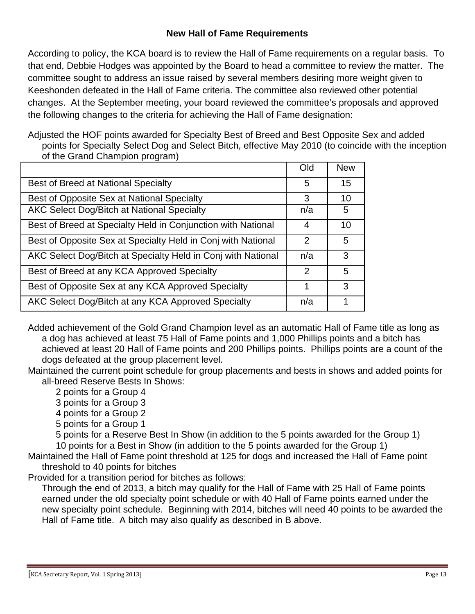## **New Hall of Fame Requirements**

According to policy, the KCA board is to review the Hall of Fame requirements on a regular basis. To that end, Debbie Hodges was appointed by the Board to head a committee to review the matter. The committee sought to address an issue raised by several members desiring more weight given to Keeshonden defeated in the Hall of Fame criteria. The committee also reviewed other potential changes. At the September meeting, your board reviewed the committee's proposals and approved the following changes to the criteria for achieving the Hall of Fame designation:

Adjusted the HOF points awarded for Specialty Best of Breed and Best Opposite Sex and added points for Specialty Select Dog and Select Bitch, effective May 2010 (to coincide with the inception of the Grand Champion program)

|                                                              | Old | <b>New</b> |
|--------------------------------------------------------------|-----|------------|
| Best of Breed at National Specialty                          | 5   | 15         |
| Best of Opposite Sex at National Specialty                   | 3   | 10         |
| AKC Select Dog/Bitch at National Specialty                   | n/a | 5          |
| Best of Breed at Specialty Held in Conjunction with National | 4   | 10         |
| Best of Opposite Sex at Specialty Held in Conj with National | 2   | 5          |
| AKC Select Dog/Bitch at Specialty Held in Conj with National | n/a | 3          |
| Best of Breed at any KCA Approved Specialty                  | 2   | 5          |
| Best of Opposite Sex at any KCA Approved Specialty           | 1   | 3          |
| AKC Select Dog/Bitch at any KCA Approved Specialty           | n/a |            |

Added achievement of the Gold Grand Champion level as an automatic Hall of Fame title as long as a dog has achieved at least 75 Hall of Fame points and 1,000 Phillips points and a bitch has achieved at least 20 Hall of Fame points and 200 Phillips points. Phillips points are a count of the dogs defeated at the group placement level.

Maintained the current point schedule for group placements and bests in shows and added points for all-breed Reserve Bests In Shows:

- 2 points for a Group 4
- 3 points for a Group 3
- 4 points for a Group 2
- 5 points for a Group 1

5 points for a Reserve Best In Show (in addition to the 5 points awarded for the Group 1)

10 points for a Best in Show (in addition to the 5 points awarded for the Group 1)

Maintained the Hall of Fame point threshold at 125 for dogs and increased the Hall of Fame point threshold to 40 points for bitches

Provided for a transition period for bitches as follows:

Through the end of 2013, a bitch may qualify for the Hall of Fame with 25 Hall of Fame points earned under the old specialty point schedule or with 40 Hall of Fame points earned under the new specialty point schedule. Beginning with 2014, bitches will need 40 points to be awarded the Hall of Fame title. A bitch may also qualify as described in B above.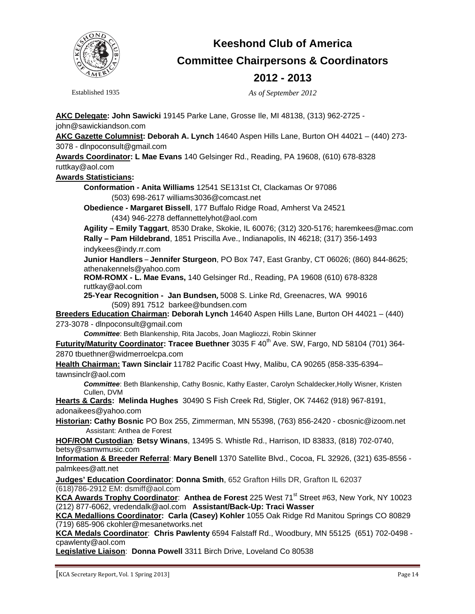

## **Keeshond Club of America Committee Chairpersons & Coordinators 2012 - 2013**

Established 1935 *As of September 2012* 

**AKC Delegate: John Sawicki** 19145 Parke Lane, Grosse Ile, MI 48138, (313) 962-2725 john@sawickiandson.com

**AKC Gazette Columnist: Deborah A. Lynch** 14640 Aspen Hills Lane, Burton OH 44021 – (440) 273- 3078 - dlnpoconsult@gmail.com

**Awards Coordinator: L Mae Evans** 140 Gelsinger Rd., Reading, PA 19608, (610) 678-8328 ruttkay@aol.com

#### **Awards Statisticians:**

**Conformation - Anita Williams** 12541 SE131st Ct, Clackamas Or 97086 (503) 698-2617 williams3036@comcast.net

**Obedience - Margaret Bissell**, 177 Buffalo Ridge Road, Amherst Va 24521 (434) 946-2278 deffannettelyhot@aol.com

**Agility – Emily Taggart**, 8530 Drake, Skokie, IL 60076; (312) 320-5176; haremkees@mac.com **Rally – Pam Hildebrand**, 1851 Priscilla Ave., Indianapolis, IN 46218; (317) 356-1493 indykees@indy.rr.com

**Junior Handlers** – **Jennifer Sturgeon**, PO Box 747, East Granby, CT 06026; (860) 844-8625; athenakennels@yahoo.com

**ROM-ROMX - L. Mae Evans,** 140 Gelsinger Rd., Reading, PA 19608 (610) 678-8328 ruttkay@aol.com

**25-Year Recognition - Jan Bundsen,** 5008 S. Linke Rd, Greenacres, WA 99016 (509) 891 7512 barkee@bundsen.com

**Breeders Education Chairman: Deborah Lynch** 14640 Aspen Hills Lane, Burton OH 44021 – (440) 273-3078 - dlnpoconsult@gmail.com

*Committee*: Beth Blankenship, Rita Jacobs, Joan Magliozzi, Robin Skinner

Futurity/Maturity Coordinator: Tracee Buethner 3035 F 40<sup>th</sup> Ave. SW, Fargo, ND 58104 (701) 364-2870 tbuethner@widmerroelcpa.com

**Health Chairman: Tawn Sinclair** 11782 Pacific Coast Hwy, Malibu, CA 90265 (858-335-6394– tawnsinclr@aol.com

*Committee*: Beth Blankenship, Cathy Bosnic, Kathy Easter, Carolyn Schaldecker,Holly Wisner, Kristen Cullen, DVM

**Hearts & Cards: Melinda Hughes** 30490 S Fish Creek Rd, Stigler, OK 74462 (918) 967-8191, adonaikees@yahoo.com

**Historian: Cathy Bosnic** PO Box 255, Zimmerman, MN 55398, (763) 856-2420 - cbosnic@izoom.net Assistant: Anthea de Forest

**HOF/ROM Custodian***:* **Betsy Winans**, 13495 S. Whistle Rd., Harrison, ID 83833, (818) 702-0740, betsy@samwmusic.com

**Information & Breeder Referral**: **Mary Benell** 1370 Satellite Blvd., Cocoa, FL 32926, (321) 635-8556 palmkees@att.net

**Judges' Education Coordinator**: **Donna Smith**, 652 Grafton Hills DR, Grafton IL 62037 (618)786-2912 EM: dsmiff@aol.com

KCA Awards Trophy Coordinator: Anthea de Forest 225 West 71<sup>st</sup> Street #63, New York, NY 10023 (212) 877-6062, vredendalk@aol.com **Assistant/Back-Up: Traci Wasser** 

**KCA Medallions Coordinator: Carla (Casey) Kohler** 1055 Oak Ridge Rd Manitou Springs CO 80829 (719) 685-906 ckohler@mesanetworks.net

**KCA Medals Coordinator**: **Chris Pawlenty** 6594 Falstaff Rd., Woodbury, MN 55125 (651) 702-0498 cpawlenty@aol.com

**Legislative Liaison**: **Donna Powell** 3311 Birch Drive, Loveland Co 80538